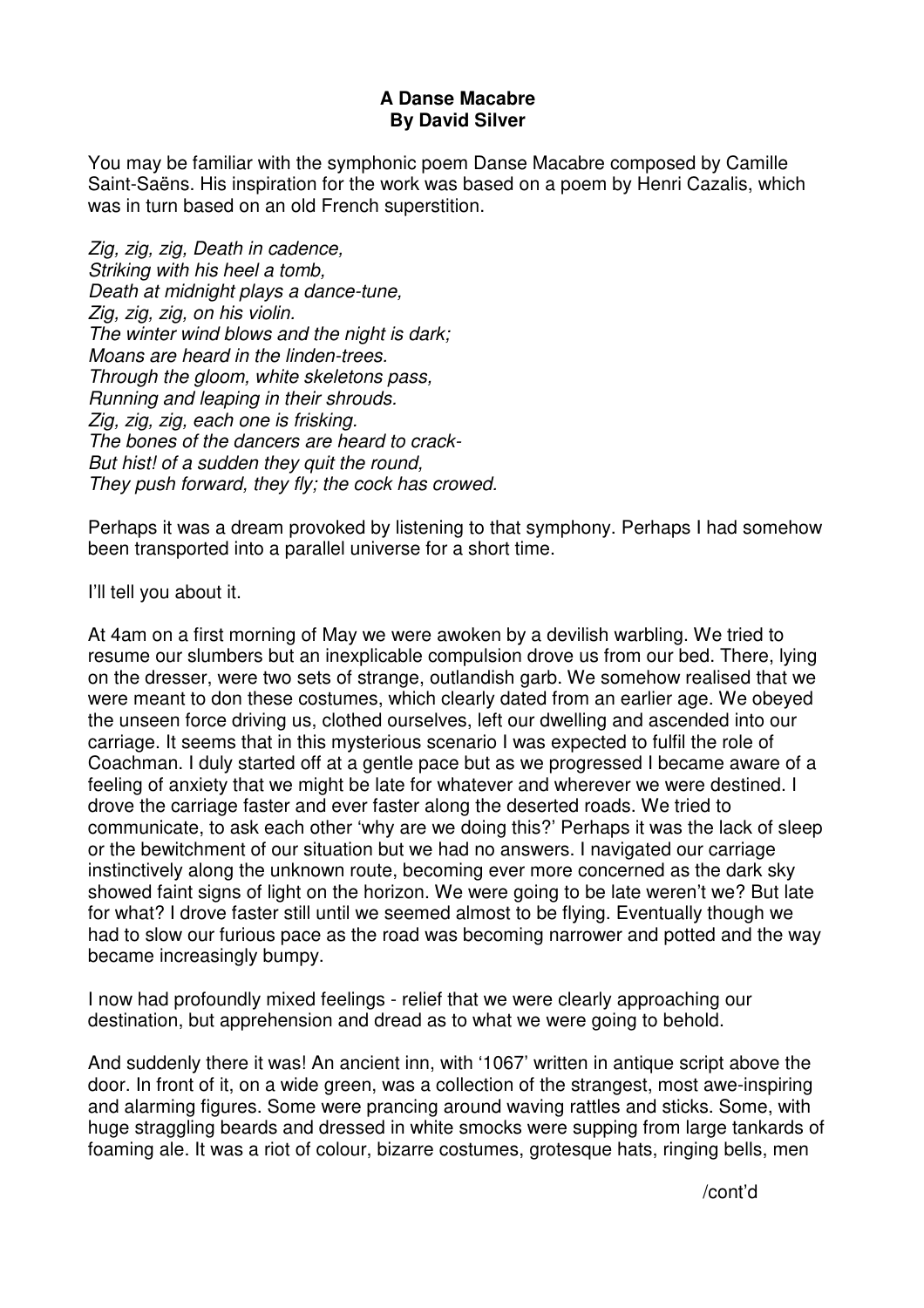## **A Danse Macabre By David Silver**

You may be familiar with the symphonic poem Danse Macabre composed by Camille Saint-Saëns. His inspiration for the work was based on a poem by Henri Cazalis, which was in turn based on an old French superstition.

Zig, zig, zig, Death in cadence, Striking with his heel a tomb, Death at midnight plays a dance-tune, Zig, zig, zig, on his violin. The winter wind blows and the night is dark: Moans are heard in the linden-trees. Through the gloom, white skeletons pass, Running and leaping in their shrouds. Zig, zig, zig, each one is frisking. The bones of the dancers are heard to crack-But hist! of a sudden they quit the round, They push forward, they fly; the cock has crowed.

Perhaps it was a dream provoked by listening to that symphony. Perhaps I had somehow been transported into a parallel universe for a short time.

I'll tell you about it.

At 4am on a first morning of May we were awoken by a devilish warbling. We tried to resume our slumbers but an inexplicable compulsion drove us from our bed. There, lying on the dresser, were two sets of strange, outlandish garb. We somehow realised that we were meant to don these costumes, which clearly dated from an earlier age. We obeyed the unseen force driving us, clothed ourselves, left our dwelling and ascended into our carriage. It seems that in this mysterious scenario I was expected to fulfil the role of Coachman. I duly started off at a gentle pace but as we progressed I became aware of a feeling of anxiety that we might be late for whatever and wherever we were destined. I drove the carriage faster and ever faster along the deserted roads. We tried to communicate, to ask each other 'why are we doing this?' Perhaps it was the lack of sleep or the bewitchment of our situation but we had no answers. I navigated our carriage instinctively along the unknown route, becoming ever more concerned as the dark sky showed faint signs of light on the horizon. We were going to be late weren't we? But late for what? I drove faster still until we seemed almost to be flying. Eventually though we had to slow our furious pace as the road was becoming narrower and potted and the way became increasingly bumpy.

I now had profoundly mixed feelings - relief that we were clearly approaching our destination, but apprehension and dread as to what we were going to behold.

And suddenly there it was! An ancient inn, with '1067' written in antique script above the door. In front of it, on a wide green, was a collection of the strangest, most awe-inspiring and alarming figures. Some were prancing around waving rattles and sticks. Some, with huge straggling beards and dressed in white smocks were supping from large tankards of foaming ale. It was a riot of colour, bizarre costumes, grotesque hats, ringing bells, men